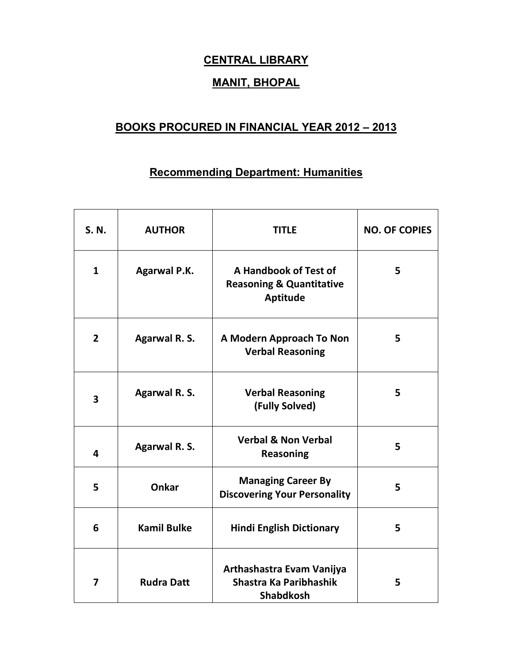## **CENTRAL LIBRARY MANIT, BHOPAL**

## **BOOKS PROCURED IN FINANCIAL YEAR 2012 – 2013**

## **Recommending Department: Humanities**

| S. N.                   | <b>AUTHOR</b>       | <b>TITLE</b>                                                                    | <b>NO. OF COPIES</b> |
|-------------------------|---------------------|---------------------------------------------------------------------------------|----------------------|
| $\mathbf{1}$            | <b>Agarwal P.K.</b> | A Handbook of Test of<br><b>Reasoning &amp; Quantitative</b><br><b>Aptitude</b> | 5                    |
| $\overline{2}$          | Agarwal R. S.       | A Modern Approach To Non<br><b>Verbal Reasoning</b>                             | 5                    |
| 3                       | Agarwal R. S.       | <b>Verbal Reasoning</b><br>(Fully Solved)                                       | 5                    |
| 4                       | Agarwal R. S.       | <b>Verbal &amp; Non Verbal</b><br><b>Reasoning</b>                              | 5                    |
| 5                       | Onkar               | <b>Managing Career By</b><br><b>Discovering Your Personality</b>                | 5                    |
| 6                       | <b>Kamil Bulke</b>  | <b>Hindi English Dictionary</b>                                                 | 5                    |
| $\overline{\mathbf{z}}$ | <b>Rudra Datt</b>   | Arthashastra Evam Vanijya<br>Shastra Ka Paribhashik<br><b>Shabdkosh</b>         | 5                    |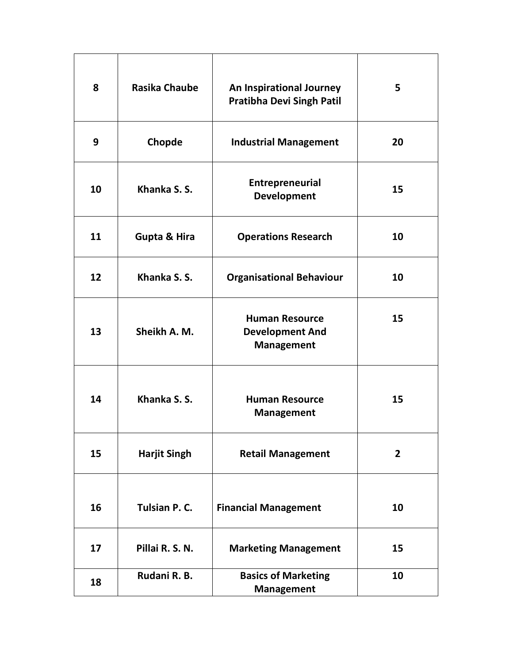| 8  | <b>Rasika Chaube</b> | An Inspirational Journey<br><b>Pratibha Devi Singh Patil</b>         | 5              |
|----|----------------------|----------------------------------------------------------------------|----------------|
| 9  | Chopde               | <b>Industrial Management</b>                                         | 20             |
| 10 | Khanka S.S.          | <b>Entrepreneurial</b><br><b>Development</b>                         | 15             |
| 11 | Gupta & Hira         | <b>Operations Research</b>                                           | 10             |
| 12 | Khanka S.S.          | <b>Organisational Behaviour</b>                                      | 10             |
| 13 | Sheikh A. M.         | <b>Human Resource</b><br><b>Development And</b><br><b>Management</b> | 15             |
| 14 | Khanka S.S.          | <b>Human Resource</b><br><b>Management</b>                           | 15             |
| 15 | <b>Harjit Singh</b>  | <b>Retail Management</b>                                             | $\overline{2}$ |
| 16 | Tulsian P.C.         | <b>Financial Management</b>                                          | 10             |
| 17 | Pillai R. S. N.      | <b>Marketing Management</b>                                          | 15             |
| 18 | Rudani R. B.         | <b>Basics of Marketing</b><br><b>Management</b>                      | 10             |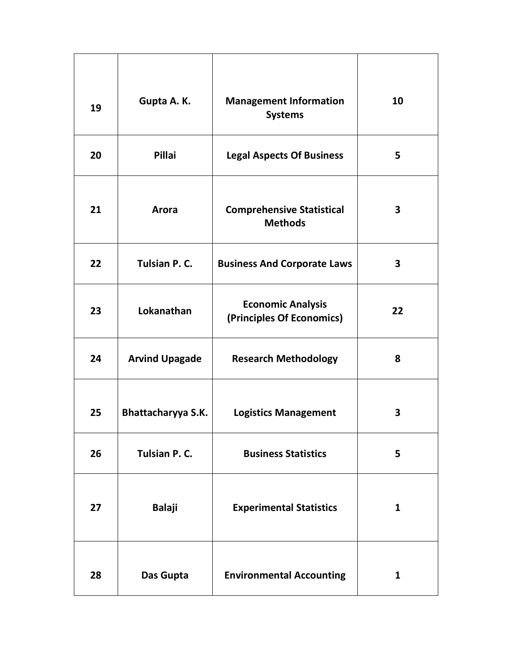| 19 | Gupta A.K.            | <b>Management Information</b><br><b>Systems</b>       | 10                      |
|----|-----------------------|-------------------------------------------------------|-------------------------|
| 20 | <b>Pillai</b>         | <b>Legal Aspects Of Business</b>                      | 5                       |
| 21 | Arora                 | <b>Comprehensive Statistical</b><br><b>Methods</b>    | $\overline{\mathbf{3}}$ |
| 22 | Tulsian P.C.          | <b>Business And Corporate Laws</b>                    | 3                       |
| 23 | Lokanathan            | <b>Economic Analysis</b><br>(Principles Of Economics) | 22                      |
| 24 | <b>Arvind Upagade</b> | <b>Research Methodology</b>                           | 8                       |
| 25 | Bhattacharyya S.K.    | <b>Logistics Management</b>                           | 3                       |
| 26 | Tulsian P.C.          | <b>Business Statistics</b>                            | 5                       |
| 27 | <b>Balaji</b>         | <b>Experimental Statistics</b>                        | $\mathbf{1}$            |
| 28 | Das Gupta             | <b>Environmental Accounting</b>                       | $\mathbf{1}$            |